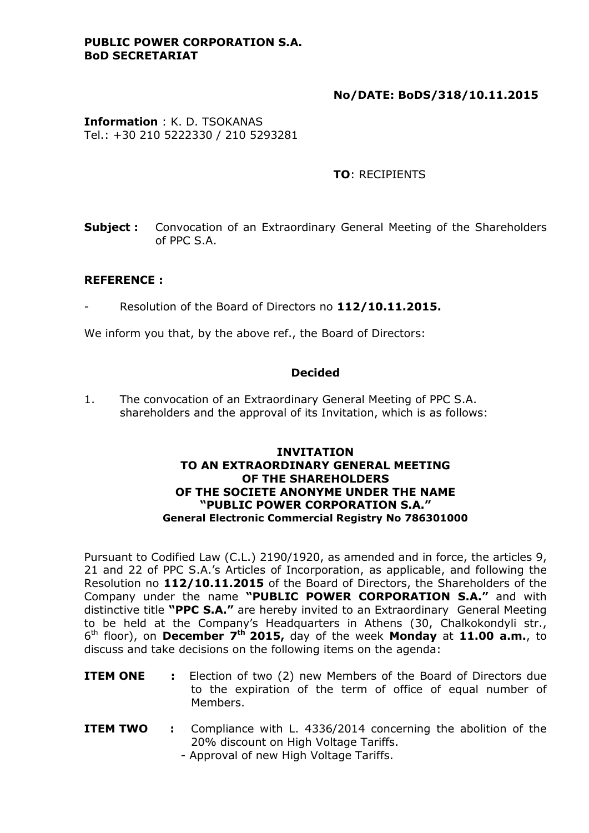#### **PUBLIC POWER CORPORATION S.A. BoD SECRETARIAT**

# **No/DATE: BoDS/318/10.11.2015**

**Information** : K. D. TSOKANAS Tel.: +30 210 5222330 / 210 5293281

# **TO**: RECIPIENTS

**Subject**: Convocation of an Extraordinary General Meeting of the Shareholders of PPC S.A.

### **REFERENCE :**

- Resolution of the Board of Directors no **112/10.11.2015.**

We inform you that, by the above ref., the Board of Directors:

#### **Decided**

1. The convocation of an Extraordinary General Meeting of PPC S.A. shareholders and the approval of its Invitation, which is as follows:

#### **INVITATION TO AN EXTRAORDINARY GENERAL MEETING OF THE SHAREHOLDERS OF THE SOCIETE ANONYME UNDER THE NAME "PUBLIC POWER CORPORATION S.A." General Electronic Commercial Registry No 786301000**

Pursuant to Codified Law (C.L.) 2190/1920, as amended and in force, the articles 9, 21 and 22 of PPC S.A.'s Articles of Incorporation, as applicable, and following the Resolution no **112/10.11.2015** of the Board of Directors, the Shareholders of the Company under the name **"PUBLIC POWER CORPORATION S.A."** and with distinctive title **"PPC S.A."** are hereby invited to an Extraordinary General Meeting to be held at the Company's Headquarters in Athens (30, Chalkokondyli str., 6 th floor), on **December 7th 2015,** day of the week **Monday** at **11.00 a.m.**, to discuss and take decisions on the following items on the agenda:

- **ITEM ONE :** Election of two (2) new Members of the Board of Directors due to the expiration of the term of office of equal number of Members.
- **ITEM TWO :** Compliance with L. 4336/2014 concerning the abolition of the 20% discount on High Voltage Tariffs. - Approval of new High Voltage Tariffs.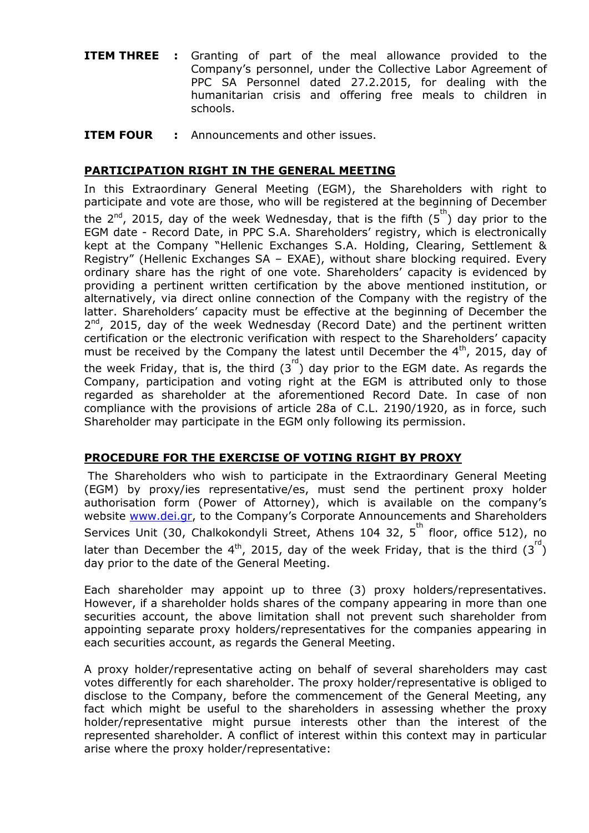- **ITEM THREE** : Granting of part of the meal allowance provided to the Company's personnel, under the Collective Labor Agreement of PPC SA Personnel dated 27.2.2015, for dealing with the humanitarian crisis and offering free meals to children in schools.
- **ITEM FOUR :** Announcements and other issues.

# **PARTICIPATION RIGHT IN THE GENERAL MEETING**

In this Extraordinary General Meeting (EGM), the Shareholders with right to participate and vote are those, who will be registered at the beginning of December the 2<sup>nd</sup>, 2015, day of the week Wednesday, that is the fifth  $(5^{th})$  day prior to the EGM date - Record Date, in PPC S.A. Shareholders' registry, which is electronically kept at the Company "Hellenic Exchanges S.A. Holding, Clearing, Settlement & Registry" (Hellenic Exchanges SA – EXAE), without share blocking required. Every ordinary share has the right of one vote. Shareholders' capacity is evidenced by providing a pertinent written certification by the above mentioned institution, or alternatively, via direct online connection of the Company with the registry of the latter. Shareholders' capacity must be effective at the beginning of December the 2<sup>nd</sup>, 2015, day of the week Wednesday (Record Date) and the pertinent written certification or the electronic verification with respect to the Shareholders' capacity must be received by the Company the latest until December the  $4<sup>th</sup>$ , 2015, day of the week Friday, that is, the third  $(3^{rd})$  day prior to the EGM date. As regards the Company, participation and voting right at the EGM is attributed only to those regarded as shareholder at the aforementioned Record Date. In case of non compliance with the provisions of article 28a of C.L. 2190/1920, as in force, such Shareholder may participate in the EGM only following its permission.

# **PROCEDURE FOR THE EXERCISE OF VOTING RIGHT BY PROXY**

The Shareholders who wish to participate in the Extraordinary General Meeting (EGM) by proxy/ies representative/es, must send the pertinent proxy holder authorisation form (Power of Attorney), which is available on the company's website [www.dei.gr](http://www.dei.gr/), to the Company's Corporate Announcements and Shareholders Services Unit (30, Chalkokondyli Street, Athens 104 32, 5<sup>th</sup> floor, office 512), no later than December the 4<sup>th</sup>, 2015, day of the week Friday, that is the third  $(3^{rd})$ day prior to the date of the General Meeting.

Each shareholder may appoint up to three (3) proxy holders/representatives. However, if a shareholder holds shares of the company appearing in more than one securities account, the above limitation shall not prevent such shareholder from appointing separate proxy holders/representatives for the companies appearing in each securities account, as regards the General Meeting.

A proxy holder/representative acting on behalf of several shareholders may cast votes differently for each shareholder. The proxy holder/representative is obliged to disclose to the Company, before the commencement of the General Meeting, any fact which might be useful to the shareholders in assessing whether the proxy holder/representative might pursue interests other than the interest of the represented shareholder. A conflict of interest within this context may in particular arise where the proxy holder/representative: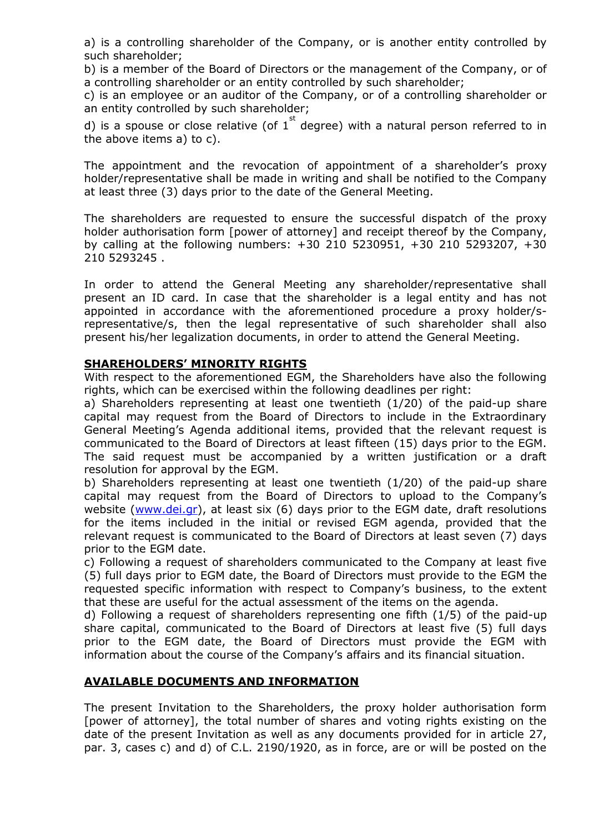a) is a controlling shareholder of the Company, or is another entity controlled by such shareholder;

b) is a member of the Board of Directors or the management of the Company, or of a controlling shareholder or an entity controlled by such shareholder;

c) is an employee or an auditor of the Company, or of a controlling shareholder or an entity controlled by such shareholder;

d) is a spouse or close relative (of  $1^{st}$  degree) with a natural person referred to in the above items a) to c).

The appointment and the revocation of appointment of a shareholder's proxy holder/representative shall be made in writing and shall be notified to the Company at least three (3) days prior to the date of the General Meeting.

The shareholders are requested to ensure the successful dispatch of the proxy holder authorisation form [power of attorney] and receipt thereof by the Company, by calling at the following numbers: +30 210 5230951, +30 210 5293207, +30 210 5293245 .

In order to attend the General Meeting any shareholder/representative shall present an ID card. In case that the shareholder is a legal entity and has not appointed in accordance with the aforementioned procedure a proxy holder/srepresentative/s, then the legal representative of such shareholder shall also present his/her legalization documents, in order to attend the General Meeting.

### **SHAREHOLDERS' MINORITY RIGHTS**

With respect to the aforementioned EGM, the Shareholders have also the following rights, which can be exercised within the following deadlines per right:

a) Shareholders representing at least one twentieth (1/20) of the paid-up share capital may request from the Board of Directors to include in the Extraordinary General Meeting's Agenda additional items, provided that the relevant request is communicated to the Board of Directors at least fifteen (15) days prior to the EGM. The said request must be accompanied by a written justification or a draft resolution for approval by the EGM.

b) Shareholders representing at least one twentieth (1/20) of the paid-up share capital may request from the Board of Directors to upload to the Company's website [\(www.dei.gr\)](http://www.dei.gr/), at least six (6) days prior to the EGM date, draft resolutions for the items included in the initial or revised EGM agenda, provided that the relevant request is communicated to the Board of Directors at least seven (7) days prior to the EGM date.

c) Following a request of shareholders communicated to the Company at least five (5) full days prior to EGM date, the Board of Directors must provide to the EGM the requested specific information with respect to Company's business, to the extent that these are useful for the actual assessment of the items on the agenda.

d) Following a request of shareholders representing one fifth (1/5) of the paid-up share capital, communicated to the Board of Directors at least five (5) full days prior to the EGM date, the Board of Directors must provide the EGM with information about the course of the Company's affairs and its financial situation.

# **AVAILABLE DOCUMENTS AND INFORMATION**

The present Invitation to the Shareholders, the proxy holder authorisation form [power of attorney], the total number of shares and voting rights existing on the date of the present Invitation as well as any documents provided for in article 27, par. 3, cases c) and d) of C.L. 2190/1920, as in force, are or will be posted on the